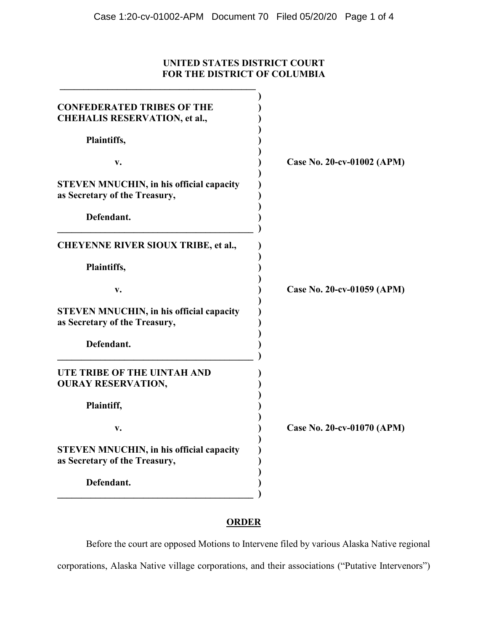## **UNITED STATES DISTRICT COURT FOR THE DISTRICT OF COLUMBIA**

| Case No. 20-cv-01002 (APM) |                            |  |
|----------------------------|----------------------------|--|
|                            |                            |  |
|                            |                            |  |
|                            |                            |  |
|                            |                            |  |
|                            |                            |  |
|                            |                            |  |
|                            |                            |  |
|                            | Case No. 20-cv-01059 (APM) |  |
| Case No. 20-cv-01070 (APM) |                            |  |
|                            |                            |  |

# **ORDER**

Before the court are opposed Motions to Intervene filed by various Alaska Native regional corporations, Alaska Native village corporations, and their associations ("Putative Intervenors")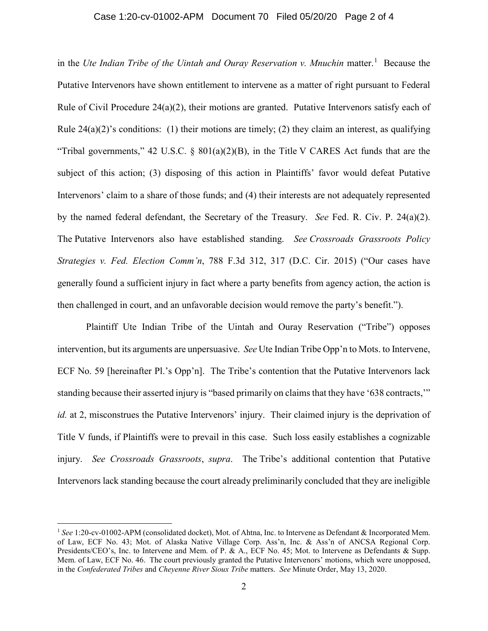#### Case 1:20-cv-01002-APM Document 70 Filed 05/20/20 Page 2 of 4

in the *Ute Indian Tribe of the Uintah and Ouray Reservation v. Mnuchin* matter.<sup>1</sup> Because the Putative Intervenors have shown entitlement to intervene as a matter of right pursuant to Federal Rule of Civil Procedure 24(a)(2), their motions are granted. Putative Intervenors satisfy each of Rule  $24(a)(2)$ 's conditions: (1) their motions are timely; (2) they claim an interest, as qualifying "Tribal governments," 42 U.S.C.  $\S$  801(a)(2)(B), in the Title V CARES Act funds that are the subject of this action; (3) disposing of this action in Plaintiffs' favor would defeat Putative Intervenors' claim to a share of those funds; and (4) their interests are not adequately represented by the named federal defendant, the Secretary of the Treasury. *See* Fed. R. Civ. P. 24(a)(2). The Putative Intervenors also have established standing. *See Crossroads Grassroots Policy Strategies v. Fed. Election Comm'n*, 788 F.3d 312, 317 (D.C. Cir. 2015) ("Our cases have generally found a sufficient injury in fact where a party benefits from agency action, the action is then challenged in court, and an unfavorable decision would remove the party's benefit.").

Plaintiff Ute Indian Tribe of the Uintah and Ouray Reservation ("Tribe") opposes intervention, but its arguments are unpersuasive. *See* Ute Indian Tribe Opp'n to Mots. to Intervene, ECF No. 59 [hereinafter Pl.'s Opp'n]. The Tribe's contention that the Putative Intervenors lack standing because their asserted injury is "based primarily on claims that they have '638 contracts,'" *id.* at 2, misconstrues the Putative Intervenors' injury. Their claimed injury is the deprivation of Title V funds, if Plaintiffs were to prevail in this case. Such loss easily establishes a cognizable injury. *See Crossroads Grassroots*, *supra*. The Tribe's additional contention that Putative Intervenors lack standing because the court already preliminarily concluded that they are ineligible

 $\overline{\phantom{a}}$ 

<sup>1</sup> *See* 1:20-cv-01002-APM (consolidated docket), Mot. of Ahtna, Inc. to Intervene as Defendant & Incorporated Mem. of Law, ECF No. 43; Mot. of Alaska Native Village Corp. Ass'n, Inc. & Ass'n of ANCSA Regional Corp. Presidents/CEO's, Inc. to Intervene and Mem. of P. & A., ECF No. 45; Mot. to Intervene as Defendants & Supp. Mem. of Law, ECF No. 46. The court previously granted the Putative Intervenors' motions, which were unopposed, in the *Confederated Tribes* and *Cheyenne River Sioux Tribe* matters. *See* Minute Order, May 13, 2020.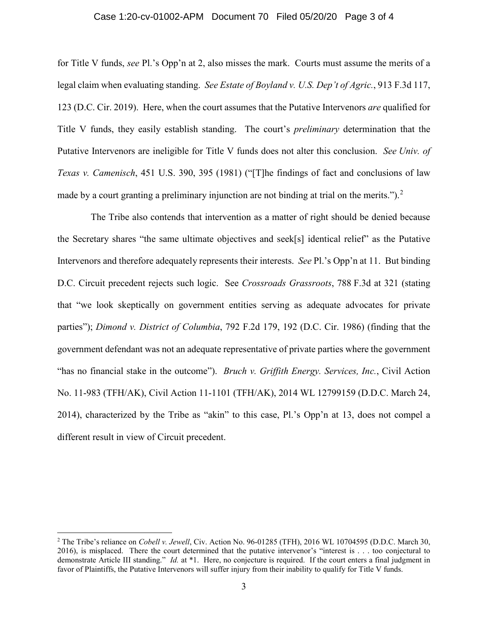#### Case 1:20-cv-01002-APM Document 70 Filed 05/20/20 Page 3 of 4

for Title V funds, *see* Pl.'s Opp'n at 2, also misses the mark. Courts must assume the merits of a legal claim when evaluating standing. *See Estate of Boyland v. U.S. Dep't of Agric.*, 913 F.3d 117, 123 (D.C. Cir. 2019). Here, when the court assumes that the Putative Intervenors *are* qualified for Title V funds, they easily establish standing. The court's *preliminary* determination that the Putative Intervenors are ineligible for Title V funds does not alter this conclusion. *See Univ. of Texas v. Camenisch*, 451 U.S. 390, 395 (1981) ("[T]he findings of fact and conclusions of law made by a court granting a preliminary injunction are not binding at trial on the merits.").<sup>2</sup>

 The Tribe also contends that intervention as a matter of right should be denied because the Secretary shares "the same ultimate objectives and seek[s] identical relief" as the Putative Intervenors and therefore adequately represents their interests. *See* Pl.'s Opp'n at 11. But binding D.C. Circuit precedent rejects such logic. See *Crossroads Grassroots*, 788 F.3d at 321 (stating that "we look skeptically on government entities serving as adequate advocates for private parties"); *Dimond v. District of Columbia*, 792 F.2d 179, 192 (D.C. Cir. 1986) (finding that the government defendant was not an adequate representative of private parties where the government "has no financial stake in the outcome"). *Bruch v. Griffith Energy. Services, Inc.*, Civil Action No. 11-983 (TFH/AK), Civil Action 11-1101 (TFH/AK), 2014 WL 12799159 (D.D.C. March 24, 2014), characterized by the Tribe as "akin" to this case, Pl.'s Opp'n at 13, does not compel a different result in view of Circuit precedent.

l

<sup>2</sup> The Tribe's reliance on *Cobell v. Jewell*, Civ. Action No. 96-01285 (TFH), 2016 WL 10704595 (D.D.C. March 30, 2016), is misplaced. There the court determined that the putative intervenor's "interest is . . . too conjectural to demonstrate Article III standing." *Id.* at \*1. Here, no conjecture is required. If the court enters a final judgment in favor of Plaintiffs, the Putative Intervenors will suffer injury from their inability to qualify for Title V funds.